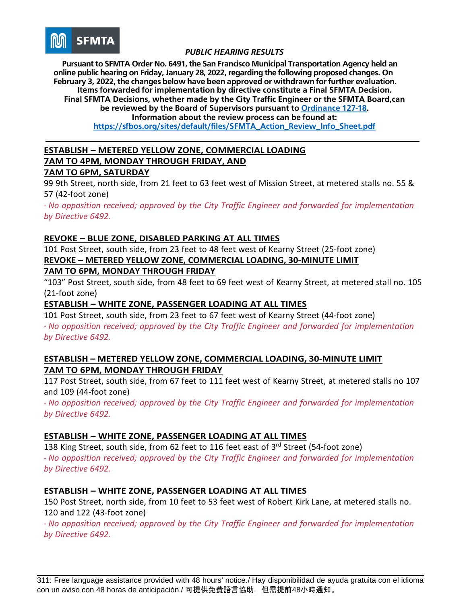

**Pursuant to SFMTA Order No. 6491, the San Francisco Municipal Transportation Agency held an online public hearing on Friday, January 28, 2022, regarding the following proposed changes. On February 3, 2022, the changes below have been approved or withdrawn for further evaluation. Items forwarded for implementation by directive constitute a Final SFMTA Decision. Final SFMTA Decisions, whether made by the City Traffic Engineer or the SFMTA Board,can be reviewed by the Board of Supervisors pursuant to [Ordinance](https://sfbos.org/sites/default/files/o0127-18.pdf) 127-18. Information about the review process can be found at:**

**[https://sfbos.org/sites/default/files/SFMTA\\_Action\\_Review\\_Info\\_Sheet.pdf](https://sfbos.org/sites/default/files/SFMTA_Action_Review_Info_Sheet.pdf)**

### **ESTABLISH – METERED YELLOW ZONE, COMMERCIAL LOADING 7AM TO 4PM, MONDAY THROUGH FRIDAY, AND**

#### **7AM TO 6PM, SATURDAY**

99 9th Street, north side, from 21 feet to 63 feet west of Mission Street, at metered stalls no. 55 & 57 (42-foot zone)

*- No opposition received; approved by the City Traffic Engineer and forwarded for implementation by Directive 6492.*

#### **REVOKE – BLUE ZONE, DISABLED PARKING AT ALL TIMES**

101 Post Street, south side, from 23 feet to 48 feet west of Kearny Street (25-foot zone) **REVOKE – METERED YELLOW ZONE, COMMERCIAL LOADING, 30-MINUTE LIMIT 7AM TO 6PM, MONDAY THROUGH FRIDAY**

"103" Post Street, south side, from 48 feet to 69 feet west of Kearny Street, at metered stall no. 105 (21-foot zone)

# **ESTABLISH – WHITE ZONE, PASSENGER LOADING AT ALL TIMES**

101 Post Street, south side, from 23 feet to 67 feet west of Kearny Street (44-foot zone) *- No opposition received; approved by the City Traffic Engineer and forwarded for implementation by Directive 6492.*

#### **ESTABLISH – METERED YELLOW ZONE, COMMERCIAL LOADING, 30-MINUTE LIMIT 7AM TO 6PM, MONDAY THROUGH FRIDAY**

117 Post Street, south side, from 67 feet to 111 feet west of Kearny Street, at metered stalls no 107 and 109 (44-foot zone)

*- No opposition received; approved by the City Traffic Engineer and forwarded for implementation by Directive 6492.*

# **ESTABLISH – WHITE ZONE, PASSENGER LOADING AT ALL TIMES**

138 King Street, south side, from 62 feet to 116 feet east of 3<sup>rd</sup> Street (54-foot zone) *- No opposition received; approved by the City Traffic Engineer and forwarded for implementation by Directive 6492.*

#### **ESTABLISH – WHITE ZONE, PASSENGER LOADING AT ALL TIMES**

150 Post Street, north side, from 10 feet to 53 feet west of Robert Kirk Lane, at metered stalls no. 120 and 122 (43-foot zone)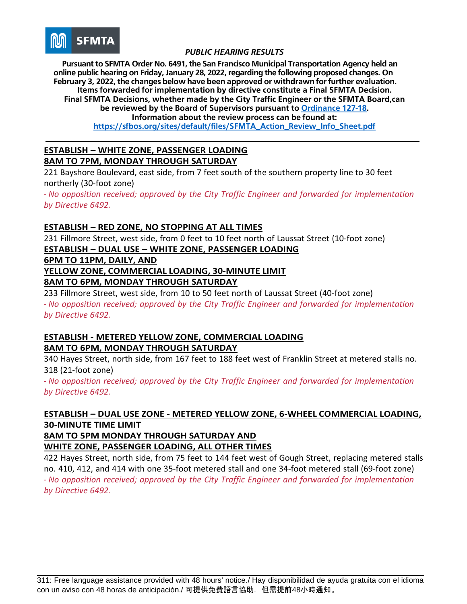

**Pursuant to SFMTA Order No. 6491, the San Francisco Municipal Transportation Agency held an online public hearing on Friday, January 28, 2022, regarding the following proposed changes. On February 3, 2022, the changes below have been approved or withdrawn for further evaluation. Items forwarded for implementation by directive constitute a Final SFMTA Decision. Final SFMTA Decisions, whether made by the City Traffic Engineer or the SFMTA Board,can be reviewed by the Board of Supervisors pursuant to [Ordinance](https://sfbos.org/sites/default/files/o0127-18.pdf) 127-18. Information about the review process can be found at:**

**[https://sfbos.org/sites/default/files/SFMTA\\_Action\\_Review\\_Info\\_Sheet.pdf](https://sfbos.org/sites/default/files/SFMTA_Action_Review_Info_Sheet.pdf)**

### **ESTABLISH – WHITE ZONE, PASSENGER LOADING 8AM TO 7PM, MONDAY THROUGH SATURDAY**

221 Bayshore Boulevard, east side, from 7 feet south of the southern property line to 30 feet northerly (30-foot zone)

*- No opposition received; approved by the City Traffic Engineer and forwarded for implementation by Directive 6492.*

### **ESTABLISH – RED ZONE, NO STOPPING AT ALL TIMES**

231 Fillmore Street, west side, from 0 feet to 10 feet north of Laussat Street (10-foot zone) **ESTABLISH – DUAL USE – WHITE ZONE, PASSENGER LOADING**

**6PM TO 11PM, DAILY, AND**

**YELLOW ZONE, COMMERCIAL LOADING, 30-MINUTE LIMIT**

### **8AM TO 6PM, MONDAY THROUGH SATURDAY**

233 Fillmore Street, west side, from 10 to 50 feet north of Laussat Street (40-foot zone) *- No opposition received; approved by the City Traffic Engineer and forwarded for implementation by Directive 6492.*

# **ESTABLISH - METERED YELLOW ZONE, COMMERCIAL LOADING 8AM TO 6PM, MONDAY THROUGH SATURDAY**

340 Hayes Street, north side, from 167 feet to 188 feet west of Franklin Street at metered stalls no. 318 (21-foot zone)

*- No opposition received; approved by the City Traffic Engineer and forwarded for implementation by Directive 6492.*

# **ESTABLISH – DUAL USE ZONE - METERED YELLOW ZONE, 6-WHEEL COMMERCIAL LOADING, 30-MINUTE TIME LIMIT**

**8AM TO 5PM MONDAY THROUGH SATURDAY AND**

**WHITE ZONE, PASSENGER LOADING, ALL OTHER TIMES**

422 Hayes Street, north side, from 75 feet to 144 feet west of Gough Street, replacing metered stalls no. 410, 412, and 414 with one 35-foot metered stall and one 34-foot metered stall (69-foot zone) *- No opposition received; approved by the City Traffic Engineer and forwarded for implementation by Directive 6492.*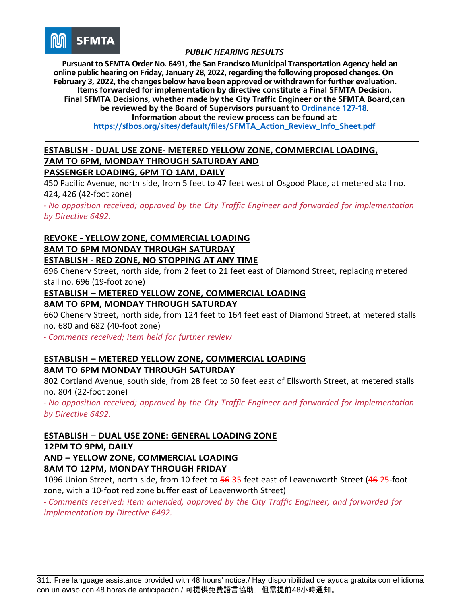

**Pursuant to SFMTA Order No. 6491, the San Francisco Municipal Transportation Agency held an online public hearing on Friday, January 28, 2022, regarding the following proposed changes. On February 3, 2022, the changes below have been approved or withdrawn for further evaluation. Items forwarded for implementation by directive constitute a Final SFMTA Decision. Final SFMTA Decisions, whether made by the City Traffic Engineer or the SFMTA Board,can be reviewed by the Board of Supervisors pursuant to [Ordinance](https://sfbos.org/sites/default/files/o0127-18.pdf) 127-18. Information about the review process can be found at:**

**[https://sfbos.org/sites/default/files/SFMTA\\_Action\\_Review\\_Info\\_Sheet.pdf](https://sfbos.org/sites/default/files/SFMTA_Action_Review_Info_Sheet.pdf)**

# **ESTABLISH - DUAL USE ZONE- METERED YELLOW ZONE, COMMERCIAL LOADING, 7AM TO 6PM, MONDAY THROUGH SATURDAY AND**

# **PASSENGER LOADING, 6PM TO 1AM, DAILY**

450 Pacific Avenue, north side, from 5 feet to 47 feet west of Osgood Place, at metered stall no. 424, 426 (42-foot zone)

*- No opposition received; approved by the City Traffic Engineer and forwarded for implementation by Directive 6492.*

# **REVOKE - YELLOW ZONE, COMMERCIAL LOADING 8AM TO 6PM MONDAY THROUGH SATURDAY ESTABLISH - RED ZONE, NO STOPPING AT ANY TIME**

696 Chenery Street, north side, from 2 feet to 21 feet east of Diamond Street, replacing metered stall no. 696 (19-foot zone)

# **ESTABLISH – METERED YELLOW ZONE, COMMERCIAL LOADING 8AM TO 6PM, MONDAY THROUGH SATURDAY**

660 Chenery Street, north side, from 124 feet to 164 feet east of Diamond Street, at metered stalls no. 680 and 682 (40-foot zone)

*- Comments received; item held for further review*

# **ESTABLISH – METERED YELLOW ZONE, COMMERCIAL LOADING 8AM TO 6PM MONDAY THROUGH SATURDAY**

802 Cortland Avenue, south side, from 28 feet to 50 feet east of Ellsworth Street, at metered stalls no. 804 (22-foot zone)

*- No opposition received; approved by the City Traffic Engineer and forwarded for implementation by Directive 6492.*

# **ESTABLISH – DUAL USE ZONE: GENERAL LOADING ZONE 12PM TO 9PM, DAILY**

**AND – YELLOW ZONE, COMMERCIAL LOADING**

**8AM TO 12PM, MONDAY THROUGH FRIDAY**

1096 Union Street, north side, from 10 feet to 56 35 feet east of Leavenworth Street (46 25-foot zone, with a 10-foot red zone buffer east of Leavenworth Street)

*- Comments received; item amended, approved by the City Traffic Engineer, and forwarded for implementation by Directive 6492.*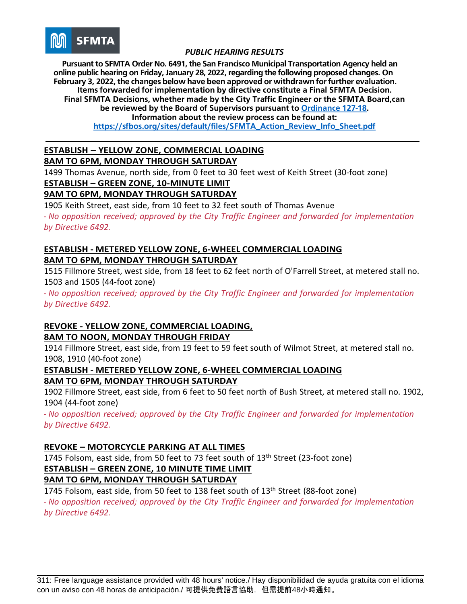

**Pursuant to SFMTA Order No. 6491, the San Francisco Municipal Transportation Agency held an online public hearing on Friday, January 28, 2022, regarding the following proposed changes. On February 3, 2022, the changes below have been approved or withdrawn for further evaluation. Items forwarded for implementation by directive constitute a Final SFMTA Decision. Final SFMTA Decisions, whether made by the City Traffic Engineer or the SFMTA Board,can be reviewed by the Board of Supervisors pursuant to [Ordinance](https://sfbos.org/sites/default/files/o0127-18.pdf) 127-18. Information about the review process can be found at: [https://sfbos.org/sites/default/files/SFMTA\\_Action\\_Review\\_Info\\_Sheet.pdf](https://sfbos.org/sites/default/files/SFMTA_Action_Review_Info_Sheet.pdf)**

#### **ESTABLISH – YELLOW ZONE, COMMERCIAL LOADING 8AM TO 6PM, MONDAY THROUGH SATURDAY**

1499 Thomas Avenue, north side, from 0 feet to 30 feet west of Keith Street (30-foot zone) **ESTABLISH – GREEN ZONE, 10-MINUTE LIMIT**

# **9AM TO 6PM, MONDAY THROUGH SATURDAY**

1905 Keith Street, east side, from 10 feet to 32 feet south of Thomas Avenue *- No opposition received; approved by the City Traffic Engineer and forwarded for implementation by Directive 6492.*

# **ESTABLISH - METERED YELLOW ZONE, 6-WHEEL COMMERCIAL LOADING 8AM TO 6PM, MONDAY THROUGH SATURDAY**

1515 Fillmore Street, west side, from 18 feet to 62 feet north of O'Farrell Street, at metered stall no. 1503 and 1505 (44-foot zone)

*- No opposition received; approved by the City Traffic Engineer and forwarded for implementation by Directive 6492.*

# **REVOKE - YELLOW ZONE, COMMERCIAL LOADING,**

# **8AM TO NOON, MONDAY THROUGH FRIDAY**

1914 Fillmore Street, east side, from 19 feet to 59 feet south of Wilmot Street, at metered stall no. 1908, 1910 (40-foot zone)

### **ESTABLISH - METERED YELLOW ZONE, 6-WHEEL COMMERCIAL LOADING 8AM TO 6PM, MONDAY THROUGH SATURDAY**

1902 Fillmore Street, east side, from 6 feet to 50 feet north of Bush Street, at metered stall no. 1902, 1904 (44-foot zone)

*- No opposition received; approved by the City Traffic Engineer and forwarded for implementation by Directive 6492.*

# **REVOKE – MOTORCYCLE PARKING AT ALL TIMES**

1745 Folsom, east side, from 50 feet to 73 feet south of  $13<sup>th</sup>$  Street (23-foot zone) **ESTABLISH – GREEN ZONE, 10 MINUTE TIME LIMIT**

# **9AM TO 6PM, MONDAY THROUGH SATURDAY**

1745 Folsom, east side, from 50 feet to 138 feet south of 13<sup>th</sup> Street (88-foot zone) *- No opposition received; approved by the City Traffic Engineer and forwarded for implementation by Directive 6492.*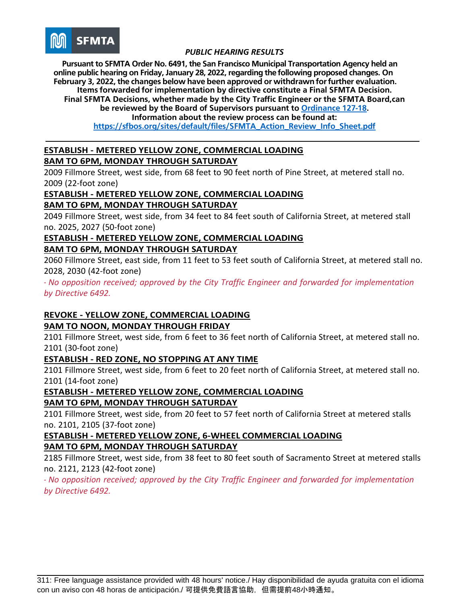

**Pursuant to SFMTA Order No. 6491, the San Francisco Municipal Transportation Agency held an online public hearing on Friday, January 28, 2022, regarding the following proposed changes. On February 3, 2022, the changes below have been approved or withdrawn for further evaluation. Items forwarded for implementation by directive constitute a Final SFMTA Decision. Final SFMTA Decisions, whether made by the City Traffic Engineer or the SFMTA Board,can**

**be reviewed by the Board of Supervisors pursuant to [Ordinance](https://sfbos.org/sites/default/files/o0127-18.pdf) 127-18.**

**Information about the review process can be found at:**

**[https://sfbos.org/sites/default/files/SFMTA\\_Action\\_Review\\_Info\\_Sheet.pdf](https://sfbos.org/sites/default/files/SFMTA_Action_Review_Info_Sheet.pdf)**

#### **ESTABLISH - METERED YELLOW ZONE, COMMERCIAL LOADING 8AM TO 6PM, MONDAY THROUGH SATURDAY**

2009 Fillmore Street, west side, from 68 feet to 90 feet north of Pine Street, at metered stall no. 2009 (22-foot zone)

# **ESTABLISH - METERED YELLOW ZONE, COMMERCIAL LOADING**

**8AM TO 6PM, MONDAY THROUGH SATURDAY**

2049 Fillmore Street, west side, from 34 feet to 84 feet south of California Street, at metered stall no. 2025, 2027 (50-foot zone)

# **ESTABLISH - METERED YELLOW ZONE, COMMERCIAL LOADING 8AM TO 6PM, MONDAY THROUGH SATURDAY**

2060 Fillmore Street, east side, from 11 feet to 53 feet south of California Street, at metered stall no. 2028, 2030 (42-foot zone)

*- No opposition received; approved by the City Traffic Engineer and forwarded for implementation by Directive 6492.*

# **REVOKE - YELLOW ZONE, COMMERCIAL LOADING**

# **9AM TO NOON, MONDAY THROUGH FRIDAY**

2101 Fillmore Street, west side, from 6 feet to 36 feet north of California Street, at metered stall no. 2101 (30-foot zone)

# **ESTABLISH - RED ZONE, NO STOPPING AT ANY TIME**

2101 Fillmore Street, west side, from 6 feet to 20 feet north of California Street, at metered stall no. 2101 (14-foot zone)

# **ESTABLISH - METERED YELLOW ZONE, COMMERCIAL LOADING**

# **9AM TO 6PM, MONDAY THROUGH SATURDAY**

2101 Fillmore Street, west side, from 20 feet to 57 feet north of California Street at metered stalls no. 2101, 2105 (37-foot zone)

# **ESTABLISH - METERED YELLOW ZONE, 6-WHEEL COMMERCIAL LOADING 9AM TO 6PM, MONDAY THROUGH SATURDAY**

2185 Fillmore Street, west side, from 38 feet to 80 feet south of Sacramento Street at metered stalls no. 2121, 2123 (42-foot zone)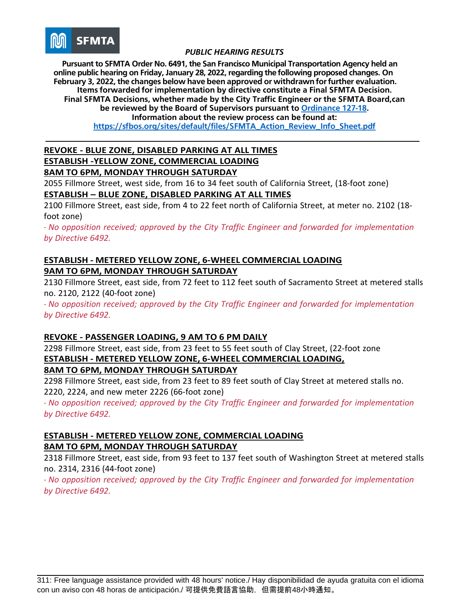

**Pursuant to SFMTA Order No. 6491, the San Francisco Municipal Transportation Agency held an online public hearing on Friday, January 28, 2022, regarding the following proposed changes. On February 3, 2022, the changes below have been approved or withdrawn for further evaluation. Items forwarded for implementation by directive constitute a Final SFMTA Decision. Final SFMTA Decisions, whether made by the City Traffic Engineer or the SFMTA Board,can be reviewed by the Board of Supervisors pursuant to [Ordinance](https://sfbos.org/sites/default/files/o0127-18.pdf) 127-18. Information about the review process can be found at: [https://sfbos.org/sites/default/files/SFMTA\\_Action\\_Review\\_Info\\_Sheet.pdf](https://sfbos.org/sites/default/files/SFMTA_Action_Review_Info_Sheet.pdf)**

#### **REVOKE - BLUE ZONE, DISABLED PARKING AT ALL TIMES ESTABLISH -YELLOW ZONE, COMMERCIAL LOADING 8AM TO 6PM, MONDAY THROUGH SATURDAY**

2055 Fillmore Street, west side, from 16 to 34 feet south of California Street, (18-foot zone) **ESTABLISH – BLUE ZONE, DISABLED PARKING AT ALL TIMES**

2100 Fillmore Street, east side, from 4 to 22 feet north of California Street, at meter no. 2102 (18 foot zone)

*- No opposition received; approved by the City Traffic Engineer and forwarded for implementation by Directive 6492.*

### **ESTABLISH - METERED YELLOW ZONE, 6-WHEEL COMMERCIAL LOADING 9AM TO 6PM, MONDAY THROUGH SATURDAY**

2130 Fillmore Street, east side, from 72 feet to 112 feet south of Sacramento Street at metered stalls no. 2120, 2122 (40-foot zone)

*- No opposition received; approved by the City Traffic Engineer and forwarded for implementation by Directive 6492.*

# **REVOKE - PASSENGER LOADING, 9 AM TO 6 PM DAILY**

2298 Fillmore Street, east side, from 23 feet to 55 feet south of Clay Street, (22-foot zone **ESTABLISH - METERED YELLOW ZONE, 6-WHEEL COMMERCIAL LOADING, 8AM TO 6PM, MONDAY THROUGH SATURDAY**

2298 Fillmore Street, east side, from 23 feet to 89 feet south of Clay Street at metered stalls no. 2220, 2224, and new meter 2226 (66-foot zone)

*- No opposition received; approved by the City Traffic Engineer and forwarded for implementation by Directive 6492.*

# **ESTABLISH - METERED YELLOW ZONE, COMMERCIAL LOADING 8AM TO 6PM, MONDAY THROUGH SATURDAY**

2318 Fillmore Street, east side, from 93 feet to 137 feet south of Washington Street at metered stalls no. 2314, 2316 (44-foot zone)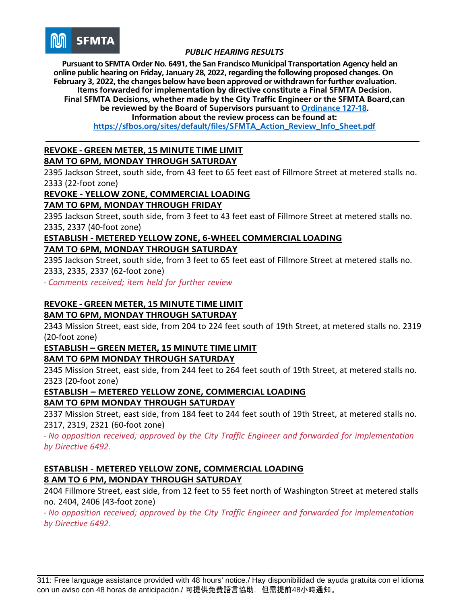

**Pursuant to SFMTA Order No. 6491, the San Francisco Municipal Transportation Agency held an online public hearing on Friday, January 28, 2022, regarding the following proposed changes. On February 3, 2022, the changes below have been approved or withdrawn for further evaluation. Items forwarded for implementation by directive constitute a Final SFMTA Decision. Final SFMTA Decisions, whether made by the City Traffic Engineer or the SFMTA Board,can**

**be reviewed by the Board of Supervisors pursuant to [Ordinance](https://sfbos.org/sites/default/files/o0127-18.pdf) 127-18.**

**Information about the review process can be found at:**

**[https://sfbos.org/sites/default/files/SFMTA\\_Action\\_Review\\_Info\\_Sheet.pdf](https://sfbos.org/sites/default/files/SFMTA_Action_Review_Info_Sheet.pdf)**

#### **REVOKE - GREEN METER, 15 MINUTE TIME LIMIT 8AM TO 6PM, MONDAY THROUGH SATURDAY**

2395 Jackson Street, south side, from 43 feet to 65 feet east of Fillmore Street at metered stalls no. 2333 (22-foot zone)

# **REVOKE - YELLOW ZONE, COMMERCIAL LOADING**

### **7AM TO 6PM, MONDAY THROUGH FRIDAY**

2395 Jackson Street, south side, from 3 feet to 43 feet east of Fillmore Street at metered stalls no. 2335, 2337 (40-foot zone)

#### **ESTABLISH - METERED YELLOW ZONE, 6-WHEEL COMMERCIAL LOADING 7AM TO 6PM, MONDAY THROUGH SATURDAY**

2395 Jackson Street, south side, from 3 feet to 65 feet east of Fillmore Street at metered stalls no. 2333, 2335, 2337 (62-foot zone)

*- Comments received; item held for further review*

#### **REVOKE - GREEN METER, 15 MINUTE TIME LIMIT 8AM TO 6PM, MONDAY THROUGH SATURDAY**

2343 Mission Street, east side, from 204 to 224 feet south of 19th Street, at metered stalls no. 2319 (20-foot zone)

# **ESTABLISH – GREEN METER, 15 MINUTE TIME LIMIT**

#### **8AM TO 6PM MONDAY THROUGH SATURDAY**

2345 Mission Street, east side, from 244 feet to 264 feet south of 19th Street, at metered stalls no. 2323 (20-foot zone)

#### **ESTABLISH – METERED YELLOW ZONE, COMMERCIAL LOADING 8AM TO 6PM MONDAY THROUGH SATURDAY**

2337 Mission Street, east side, from 184 feet to 244 feet south of 19th Street, at metered stalls no. 2317, 2319, 2321 (60-foot zone)

*- No opposition received; approved by the City Traffic Engineer and forwarded for implementation by Directive 6492.*

### **ESTABLISH - METERED YELLOW ZONE, COMMERCIAL LOADING 8 AM TO 6 PM, MONDAY THROUGH SATURDAY**

2404 Fillmore Street, east side, from 12 feet to 55 feet north of Washington Street at metered stalls no. 2404, 2406 (43-foot zone)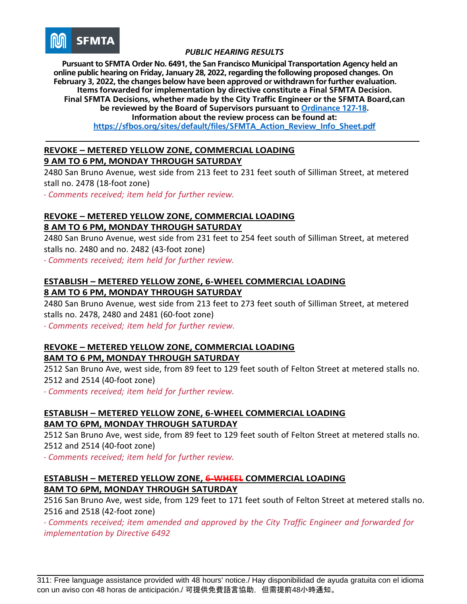

**Pursuant to SFMTA Order No. 6491, the San Francisco Municipal Transportation Agency held an online public hearing on Friday, January 28, 2022, regarding the following proposed changes. On February 3, 2022, the changes below have been approved or withdrawn for further evaluation. Items forwarded for implementation by directive constitute a Final SFMTA Decision. Final SFMTA Decisions, whether made by the City Traffic Engineer or the SFMTA Board,can be reviewed by the Board of Supervisors pursuant to [Ordinance](https://sfbos.org/sites/default/files/o0127-18.pdf) 127-18. Information about the review process can be found at: [https://sfbos.org/sites/default/files/SFMTA\\_Action\\_Review\\_Info\\_Sheet.pdf](https://sfbos.org/sites/default/files/SFMTA_Action_Review_Info_Sheet.pdf)**

**REVOKE – METERED YELLOW ZONE, COMMERCIAL LOADING 9 AM TO 6 PM, MONDAY THROUGH SATURDAY**

2480 San Bruno Avenue, west side from 213 feet to 231 feet south of Silliman Street, at metered stall no. 2478 (18-foot zone)

*- Comments received; item held for further review.*

# **REVOKE – METERED YELLOW ZONE, COMMERCIAL LOADING 8 AM TO 6 PM, MONDAY THROUGH SATURDAY**

2480 San Bruno Avenue, west side from 231 feet to 254 feet south of Silliman Street, at metered stalls no. 2480 and no. 2482 (43-foot zone)

*- Comments received; item held for further review.*

# **ESTABLISH – METERED YELLOW ZONE, 6-WHEEL COMMERCIAL LOADING 8 AM TO 6 PM, MONDAY THROUGH SATURDAY**

2480 San Bruno Avenue, west side from 213 feet to 273 feet south of Silliman Street, at metered stalls no. 2478, 2480 and 2481 (60-foot zone)

*- Comments received; item held for further review.*

# **REVOKE – METERED YELLOW ZONE, COMMERCIAL LOADING 8AM TO 6 PM, MONDAY THROUGH SATURDAY**

2512 San Bruno Ave, west side, from 89 feet to 129 feet south of Felton Street at metered stalls no. 2512 and 2514 (40-foot zone)

*- Comments received; item held for further review.*

# **ESTABLISH – METERED YELLOW ZONE, 6-WHEEL COMMERCIAL LOADING 8AM TO 6PM, MONDAY THROUGH SATURDAY**

2512 San Bruno Ave, west side, from 89 feet to 129 feet south of Felton Street at metered stalls no. 2512 and 2514 (40-foot zone)

*- Comments received; item held for further review.*

# **ESTABLISH – METERED YELLOW ZONE, 6-WHEEL COMMERCIAL LOADING 8AM TO 6PM, MONDAY THROUGH SATURDAY**

2516 San Bruno Ave, west side, from 129 feet to 171 feet south of Felton Street at metered stalls no. 2516 and 2518 (42-foot zone)

*- Comments received; item amended and approved by the City Traffic Engineer and forwarded for implementation by Directive 6492*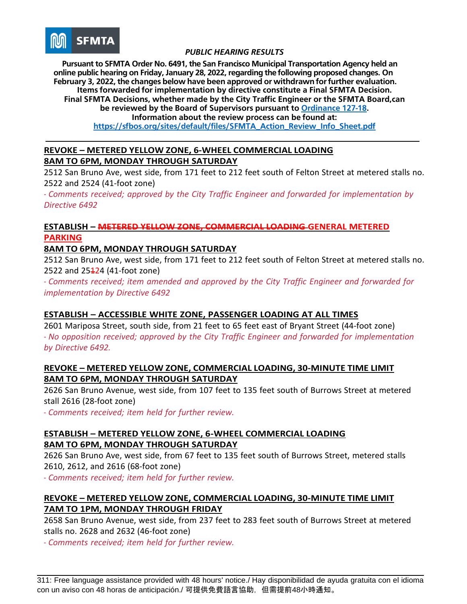

**Pursuant to SFMTA Order No. 6491, the San Francisco Municipal Transportation Agency held an online public hearing on Friday, January 28, 2022, regarding the following proposed changes. On February 3, 2022, the changes below have been approved or withdrawn for further evaluation. Items forwarded for implementation by directive constitute a Final SFMTA Decision. Final SFMTA Decisions, whether made by the City Traffic Engineer or the SFMTA Board,can be reviewed by the Board of Supervisors pursuant to [Ordinance](https://sfbos.org/sites/default/files/o0127-18.pdf) 127-18. Information about the review process can be found at: [https://sfbos.org/sites/default/files/SFMTA\\_Action\\_Review\\_Info\\_Sheet.pdf](https://sfbos.org/sites/default/files/SFMTA_Action_Review_Info_Sheet.pdf)**

# **REVOKE – METERED YELLOW ZONE, 6-WHEEL COMMERCIAL LOADING 8AM TO 6PM, MONDAY THROUGH SATURDAY**

2512 San Bruno Ave, west side, from 171 feet to 212 feet south of Felton Street at metered stalls no. 2522 and 2524 (41-foot zone)

*- Comments received; approved by the City Traffic Engineer and forwarded for implementation by Directive 6492*

# **ESTABLISH – METERED YELLOW ZONE, COMMERCIAL LOADING GENERAL METERED PARKING**

# **8AM TO 6PM, MONDAY THROUGH SATURDAY**

2512 San Bruno Ave, west side, from 171 feet to 212 feet south of Felton Street at metered stalls no. 2522 and 25<del>1</del>24 (41-foot zone)

*- Comments received; item amended and approved by the City Traffic Engineer and forwarded for implementation by Directive 6492*

# **ESTABLISH – ACCESSIBLE WHITE ZONE, PASSENGER LOADING AT ALL TIMES**

2601 Mariposa Street, south side, from 21 feet to 65 feet east of Bryant Street (44-foot zone) *- No opposition received; approved by the City Traffic Engineer and forwarded for implementation by Directive 6492.*

#### **REVOKE – METERED YELLOW ZONE, COMMERCIAL LOADING, 30-MINUTE TIME LIMIT 8AM TO 6PM, MONDAY THROUGH SATURDAY**

2626 San Bruno Avenue, west side, from 107 feet to 135 feet south of Burrows Street at metered stall 2616 (28-foot zone)

*- Comments received; item held for further review.*

# **ESTABLISH – METERED YELLOW ZONE, 6-WHEEL COMMERCIAL LOADING 8AM TO 6PM, MONDAY THROUGH SATURDAY**

2626 San Bruno Ave, west side, from 67 feet to 135 feet south of Burrows Street, metered stalls 2610, 2612, and 2616 (68-foot zone)

*- Comments received; item held for further review.*

### **REVOKE – METERED YELLOW ZONE, COMMERCIAL LOADING, 30-MINUTE TIME LIMIT 7AM TO 1PM, MONDAY THROUGH FRIDAY**

2658 San Bruno Avenue, west side, from 237 feet to 283 feet south of Burrows Street at metered stalls no. 2628 and 2632 (46-foot zone)

*- Comments received; item held for further review.*